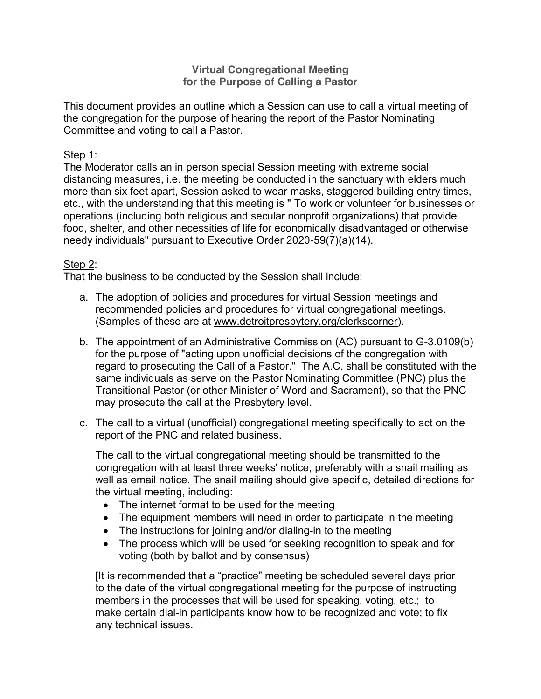### **Virtual Congregational Meeting for the Purpose of Calling a Pastor**

This document provides an outline which a Session can use to call a virtual meeting of the congregation for the purpose of hearing the report of the Pastor Nominating Committee and voting to call a Pastor.

### Step 1:

The Moderator calls an in person special Session meeting with extreme social distancing measures, i.e. the meeting be conducted in the sanctuary with elders much more than six feet apart, Session asked to wear masks, staggered building entry times, etc., with the understanding that this meeting is " To work or volunteer for businesses or operations (including both religious and secular nonprofit organizations) that provide food, shelter, and other necessities of life for economically disadvantaged or otherwise needy individuals" pursuant to Executive Order 2020-59(7)(a)(14).

## Step 2:

That the business to be conducted by the Session shall include:

- a. The adoption of policies and procedures for virtual Session meetings and recommended policies and procedures for virtual congregational meetings. (Samples of these are at www.detroitpresbytery.org/clerkscorner).
- b. The appointment of an Administrative Commission (AC) pursuant to G-3.0109(b) for the purpose of "acting upon unofficial decisions of the congregation with regard to prosecuting the Call of a Pastor." The A.C. shall be constituted with the same individuals as serve on the Pastor Nominating Committee (PNC) plus the Transitional Pastor (or other Minister of Word and Sacrament), so that the PNC may prosecute the call at the Presbytery level.
- c. The call to a virtual (unofficial) congregational meeting specifically to act on the report of the PNC and related business.

The call to the virtual congregational meeting should be transmitted to the congregation with at least three weeks' notice, preferably with a snail mailing as well as email notice. The snail mailing should give specific, detailed directions for the virtual meeting, including:

- $\bullet$  The internet format to be used for the meeting
- The equipment members will need in order to participate in the meeting
- $\bullet$  The instructions for joining and/or dialing-in to the meeting
- The process which will be used for seeking recognition to speak and for voting (both by ballot and by consensus)

[It is recommended that a "practice" meeting be scheduled several days prior to the date of the virtual congregational meeting for the purpose of instructing members in the processes that will be used for speaking, voting, etc.; to make certain dial-in participants know how to be recognized and vote; to fix any technical issues.